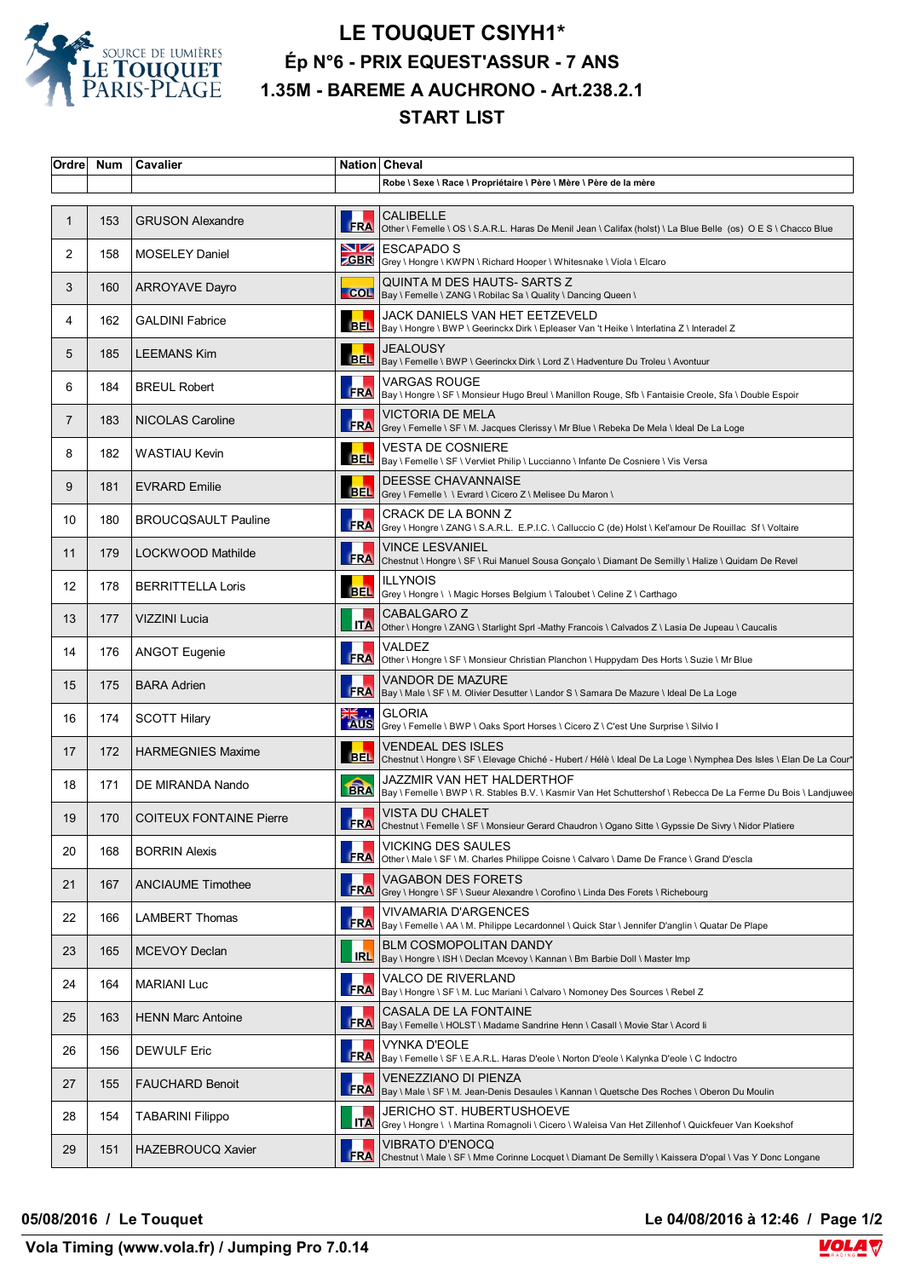

## **LE TOUQUET CSIYH1\* Ép N°6 - PRIX EQUEST'ASSUR - 7 ANS 1.35M - BAREME A AUCHRONO - Art.238.2.1 START LIST**

| Ordre             | <b>Num</b> | Cavalier                       |            | Nation Cheval                                                                                                                                              |
|-------------------|------------|--------------------------------|------------|------------------------------------------------------------------------------------------------------------------------------------------------------------|
|                   |            |                                |            | Robe \ Sexe \ Race \ Propriétaire \ Père \ Mère \ Père de la mère                                                                                          |
| $\mathbf{1}$      | 153        | <b>GRUSON Alexandre</b>        | <b>FRA</b> | <b>CALIBELLE</b><br>Other \ Femelle \ OS \ S.A.R.L. Haras De Menil Jean \ Califax (holst) \ La Blue Belle (os) O E S \ Chacco Blue                         |
| 2                 | 158        | <b>MOSELEY Daniel</b>          | VZ         | <b>ESCAPADO S</b><br><b>CBR</b> Grey \ Hongre \ KWPN \ Richard Hooper \ Whitesnake \ Viola \ Elcaro                                                        |
| 3                 | 160        | <b>ARROYAVE Dayro</b>          |            | QUINTA M DES HAUTS- SARTS Z<br>COL   Bay \ Femelle \ ZANG \ Robilac Sa \ Quality \ Dancing Queen \                                                         |
| 4                 | 162        | <b>GALDINI Fabrice</b>         |            | JACK DANIELS VAN HET EETZEVELD<br>BEL   Bay \ Hongre \ BWP \ Geerinckx Dirk \ Epleaser Van 't Heike \ Interlatina Z \ Interadel Z                          |
| 5                 | 185        | <b>LEEMANS Kim</b>             |            | <b>JEALOUSY</b><br>BEL Bay \ Femelle \ BWP \ Geerinckx Dirk \ Lord Z \ Hadventure Du Troleu \ Avontuur                                                     |
| 6                 | 184        | <b>BREUL Robert</b>            | <b>FRA</b> | VARGAS ROUGE<br>Bay \ Hongre \ SF \ Monsieur Hugo Breul \ Manillon Rouge, Sfb \ Fantaisie Creole, Sfa \ Double Espoir                                      |
| 7                 | 183        | <b>NICOLAS Caroline</b>        | <b>FRA</b> | <b>VICTORIA DE MELA</b><br>Grey \ Femelle \ SF \ M. Jacques Clerissy \ Mr Blue \ Rebeka De Mela \ Ideal De La Loge                                         |
| 8                 | 182        | WASTIAU Kevin                  | <b>BEL</b> | <b>VESTA DE COSNIERE</b><br>Bay \ Femelle \ SF \ Vervliet Philip \ Luccianno \ Infante De Cosniere \ Vis Versa                                             |
| 9                 | 181        | <b>EVRARD Emilie</b>           |            | <b>DEESSE CHAVANNAISE</b><br>BEL Grey \ Femelle \ \ Evrard \ Cicero Z \ Melisee Du Maron \                                                                 |
| 10                | 180        | <b>BROUCQSAULT Pauline</b>     |            | CRACK DE LA BONN Z<br>FRA Grey \ Hongre \ ZANG \ S.A.R.L. E.P.I.C. \ Calluccio C (de) Holst \ Kel'amour De Rouillac Sf \ Voltaire                          |
| 11                | 179        | LOCKWOOD Mathilde              | <b>FRA</b> | VINCE LESVANIEL<br>Chestnut \ Hongre \ SF \ Rui Manuel Sousa Gonçalo \ Diamant De Semilly \ Halize \ Quidam De Revel                                       |
| $12 \overline{ }$ | 178        | <b>BERRITTELLA Loris</b>       | <b>BEL</b> | <b>ILLYNOIS</b><br>Grey \ Hongre \ \ Magic Horses Belgium \ Taloubet \ Celine Z \ Carthago                                                                 |
| 13                | 177        | VIZZINI Lucia                  |            | <b>CABALGARO Z</b><br>ITA Other \ Hongre \ ZANG \ Starlight Sprl -Mathy Francois \ Calvados Z \ Lasia De Jupeau \ Caucalis                                 |
| 14                | 176        | <b>ANGOT Eugenie</b>           | FRA        | VALDEZ<br>Other \ Hongre \ SF \ Monsieur Christian Planchon \ Huppydam Des Horts \ Suzie \ Mr Blue                                                         |
| 15                | 175        | <b>BARA Adrien</b>             | <b>FRA</b> | VANDOR DE MAZURE<br>Bay \ Male \ SF \ M. Olivier Desutter \ Landor S \ Samara De Mazure \ Ideal De La Loge                                                 |
| 16                | 174        | <b>SCOTT Hilary</b>            |            | ALC  GLORIA<br>AUS Grey \ Femelle \ BWP \ Oaks Sport Horses \ Cicero Z \ C'est Une Surprise \ Silvio I                                                     |
| 17                | 172        | <b>HARMEGNIES Maxime</b>       | <b>BEL</b> | VENDEAL DES ISLES<br>Chestnut \ Hongre \ SF \ Elevage Chiché - Hubert / Hélè \ Ideal De La Loge \ Nymphea Des Isles \ Elan De La Cour*                     |
| 18                | 171        | DE MIRANDA Nando               | <b>ERA</b> | JAZZMIR VAN HET HALDERTHOF<br>Bay \ Femelle \ BWP \ R. Stables B.V. \ Kasmir Van Het Schuttershof \ Rebecca De La Ferme Du Bois \ Landjuwee                |
| 19                | 170        | <b>COITEUX FONTAINE Pierre</b> |            | <b>VISTA DU CHALET</b><br>FRA Chestnut \ Femelle \ SF \ Monsieur Gerard Chaudron \ Ogano Sitte \ Gypssie De Sivry \ Nidor Platiere                         |
| 20                | 168        | <b>BORRIN Alexis</b>           | <b>FRA</b> | <b>VICKING DES SAULES</b><br>Other \ Male \ SF \ M. Charles Philippe Coisne \ Calvaro \ Dame De France \ Grand D'escla                                     |
| 21                | 167        | <b>ANCIAUME Timothee</b>       | <b>FRA</b> | <b>VAGABON DES FORETS</b><br> Grey \ Hongre \ SF \ Sueur Alexandre \ Corofino \ Linda Des Forets \ Richebourg                                              |
| 22                | 166        | LAMBERT Thomas                 | <b>FRA</b> | VIVAMARIA D'ARGENCES<br>Bay \ Femelle \ AA \ M. Philippe Lecardonnel \ Quick Star \ Jennifer D'anglin \ Quatar De Plape                                    |
| 23                | 165        | MCEVOY Declan                  | <b>IRL</b> | <b>BLM COSMOPOLITAN DANDY</b><br>Bay \ Hongre \ ISH \ Declan Mcevoy \ Kannan \ Bm Barbie Doll \ Master Imp                                                 |
| 24                | 164        | <b>MARIANI Luc</b>             |            | VALCO DE RIVERLAND<br><b>FRA</b> $\begin{bmatrix} 1 & -2 & -2 \\ Bay \end{bmatrix}$ Hongre \ SF \ M. Luc Mariani \ Calvaro \ Nomoney Des Sources \ Rebel Z |
| 25                | 163        | <b>HENN Marc Antoine</b>       | <b>FRA</b> | <b>CASALA DE LA FONTAINE</b><br>Bay \ Femelle \ HOLST \ Madame Sandrine Henn \ Casall \ Movie Star \ Acord li                                              |
| 26                | 156        | DEWULF Eric                    | <b>FRA</b> | VYNKA D'EOLE<br>Bay \ Femelle \ SF \ E.A.R.L. Haras D'eole \ Norton D'eole \ Kalynka D'eole \ C Indoctro                                                   |
| 27                | 155        | <b>FAUCHARD Benoit</b>         | <b>FRA</b> | VENEZZIANO DI PIENZA<br>Bay \ Male \ SF \ M. Jean-Denis Desaules \ Kannan \ Quetsche Des Roches \ Oberon Du Moulin                                         |
| 28                | 154        | <b>TABARINI Filippo</b>        | <b>ITA</b> | JERICHO ST. HUBERTUSHOEVE<br> Grey \ Hongre \ \ Martina Romagnoli \ Cicero \ Waleisa Van Het Zillenhof \ Quickfeuer Van Koekshof                           |
| 29                | 151        | <b>HAZEBROUCQ Xavier</b>       | <b>FRA</b> | VIBRATO D'ENOCQ<br>Chestnut \ Male \ SF \ Mme Corinne Locquet \ Diamant De Semilly \ Kaissera D'opal \ Vas Y Donc Longane                                  |

**05/08/2016 / Le Touquet Le 04/08/2016 à 12:46 / Page 1/2**